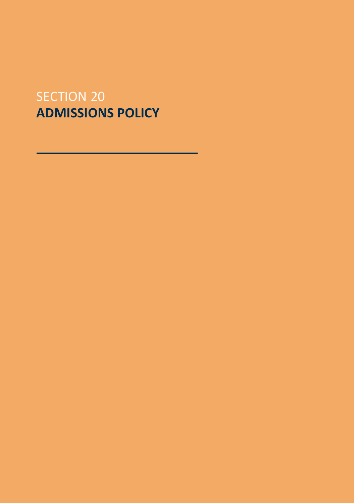# SECTION 20 **ADMISSIONS POLICY**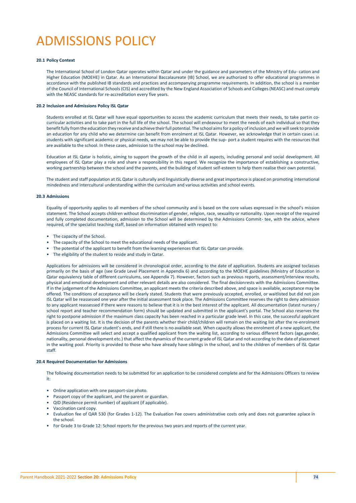# ADMISSIONS POLICY

# **20.1 Policy Context**

The International School of London Qatar operates within Qatar and under the guidance and parameters of the Ministry of Edu- cation and Higher Education (MOEHE) in Qatar. As an International Baccalaureate (IB) School, we are authorized to offer educational programmes in accordance with the published IB standards and practices and accompanying programme requirements. In addition, the school is a member of the Council of International Schools (CIS) and accredited by the New England Association of Schools and Colleges(NEASC) and must comply with the NEASC standards for re-accreditation every five years.

# **20.2 Inclusion and Admissions Policy ISL Qatar**

Students enrolled at ISL Qatar will have equal opportunities to access the academic curriculum that meets their needs, to take partin cocurricular activities and to take part in the full life of the school. The school will endeavour to meet the needs of each individual so that they benefitfully fromthe education they receive andachieve theirfull potential. The school aimsfor a policy ofinclusion,and we will seek to provide an education for any child who we determine can benefit from enrolment at ISL Qatar. However, we acknowledge that in certain cases i.e. students with significant academic or physical needs, we may not be able to provide the sup- port a student requires with the resources that are available to the school. In these cases, admission to the school may be declined.

Education at ISL Qatar is holistic, aiming to support the growth of the child in all aspects, including personal and social development. All employees of ISL Qatar play a role and share a responsibility in this regard. We recognize the importance of establishing a constructive, working partnership between the school and the parents, and the building of student self-esteem to help them realise their own potential.

The student and staff population at ISL Qatar is culturally and linguistically diverse and great importance is placed on promoting international mindedness and intercultural understanding within the curriculum and various activities and school events.

#### **20.3 Admissions**

Equality of opportunity applies to all members of the school community and is based on the core values expressed in the school's mission statement. The School accepts children without discrimination of gender, religion, race, sexuality or nationality. Upon receipt of the required and fully completed documentation, admission to the School will be determined by the Admissions Commit- tee, with the advice, where required, of the specialist teaching staff, based on information obtained with respect to:

- The capacity of the School.
- The capacity of the School to meet the educational needs of the applicant.
- The potential of the applicant to benefit from the learning experiences that ISL Qatar can provide.
- The eligibility of the student to reside and study in Qatar.

Applications for admissions will be considered in chronological order, according to the date of application. Students are assigned toclasses primarily on the basis of age (see Grade Level Placement in Appendix 6) and according to the MOEHE guidelines (Ministry of Education in Qatar equivalency table of different curriculums, see Appendix 7). However, factors such as previous reports, assessment/interview results, physical and emotional development and other relevant details are also considered. The final decisionrests with the Admissions Committee. If in the judgement of the Admissions Committee, an applicant meets the criteria described above, and space is available, acceptance may be offered. The conditions of acceptance will be clearly stated. Students that were previously accepted, enrolled, or waitlisted but did not join ISL Qatar will be reassessed one year after the initial assessment took place. The Admissions Committee reserves the right to deny admission to any applicant reassessed if there were reasons to believe that it is in the best interest of the applicant. All documentation (latest nursery / school report and teacher recommendation form) should be updated and submitted in the applicant's portal. The School also reserves the right to postpone admission if the maximum class capacity has been reached in a particular grade level. In this case, the successful applicant is placed on a waiting list. It is the decision of the parents whether their child/children will remain on the waiting list after the re-enrolment process for current ISL Qatar student's ends, and if still there is no available seat. When capacity allows the enrolment of a new applicant, the Admissions Committee will select and accept a qualified applicant from the waiting list, according to various different factors (age,gender, nationality, personal development etc.) that affect the dynamics of the current grade of ISL Qatar and not according to the date of placement in the waiting pool. Priority is provided to those who have already have siblings in the school, and to the children of members of ISL Qatar staff.

#### **20.4 Required Documentation for Admissions**

The following documentation needs to be submitted for an application to be considered complete and for the Admissions Officers to review it:

- Online application with one passport-size photo.
- Passport copy of the applicant, and the parent or guardian.
- QID (Residence permit number) of applicant (if applicable).
- Vaccination card copy.
- Evaluation fee of QAR 530 (for Grades 1-12). The Evaluation Fee covers administrative costs only and does not guarantee aplace in the school.
- For Grade 3 to Grade 12: School reports for the previous two years and reports of the current year.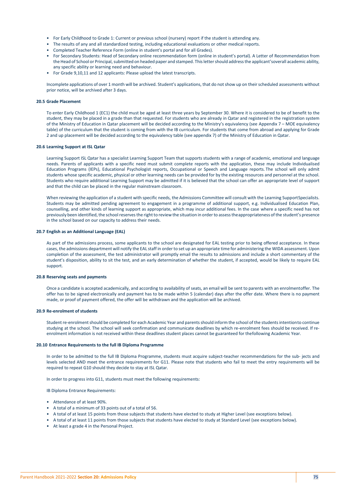- For Early Childhood to Grade 1: Current or previous school (nursery) report if the student is attending any.
- The results of any and all standardized testing, including educational evaluations or other medical reports.
- Completed Teacher Reference Form (online in student's portal and for all Grades).
- For Secondary Students: Head of Secondary online recommendation form (online in student's portal). A Letter of Recommendation from the Head of School or Principal, submitted on headed paper and stamped. This letter should address the applicant'soverall academic ability, any specific ability or learning need and behaviour.
- For Grade 9,10,11 and 12 applicants: Please upload the latest transcripts.

Incomplete applications of over 1 month will be archived. Student's applications, that do not show up on their scheduled assessments without prior notice, will be archived after 3 days.

# **20.5 Grade Placement**

To enter Early Childhood 1 (EC1) the child must be aged at least three years by September 30. Where it is considered to be of benefit to the student, they may be placed in a grade than that requested. For students who are already in Qatar and registered in the registration system of the Ministry of Education in Qatar placement will be decided according to the Ministry's equivalency (see Appendix 7 – MOE equivalency table) of the curriculum that the student is coming from with the IB curriculum. For students that come from abroad and applying for Grade 2 and up placement will be decided according to the equivalency table (see appendix 7) of the Ministry of Education in Qatar.

#### **20.6 Learning Support at ISL Qatar**

Learning Support ISL Qatar has a specialist Learning Support Team that supports students with a range of academic, emotional and language needs. Parents of applicants with a specific need must submit complete reports with the application, these may include Individualised Education Programs (IEPs), Educational Psychologist reports, Occupational or Speech and Language reports. The school will only admit students whose specific academic, physical or other learning needs can be provided for by the existing resources and personnel at the school. Students who require additional Learning Support may be admitted if it is believed that the school can offer an appropriate level of support and that the child can be placed in the regular mainstream classroom.

When reviewing the application of a student with specific needs, the Admissions Committee will consult with the Learning SupportSpecialists. Students may be admitted pending agreement to engagement in a programme of additional support, e.g. Individualised Education Plan, counselling, and other kinds of learning support as appropriate, which may incur additional fees. In the case where a specific need has not previously been identified, the school reserves the right to review the situation in order to assess theappropriateness of the student's presence in the school based on our capacity to address their needs.

# **20.7 English as an Additional Language (EAL)**

As part of the admissions process, some applicants to the school are designated for EAL testing prior to being offered acceptance. In these cases, the admissions department will notify the EAL staff in order to set up an appropriate time for administering the WIDA assessment. Upon completion of the assessment, the test administrator will promptly email the results to admissions and include a short commentary of the student's disposition, ability to sit the test, and an early determination of whether the student, if accepted, would be likely to require EAL support.

#### **20.8 Reserving seats and payments**

Once a candidate is accepted academically, and according to availability of seats, an email will be sent to parents with an enrolmentoffer. The offer has to be signed electronically and payment has to be made within 5 (calendar) days after the offer date. Where there is no payment made, or proof of payment offered, the offer will be withdrawn and the application will be archived.

#### **20.9 Re-enrolment of students**

Student re-enrolment should be completed for each Academic Year and parents should inform the school of the students intentionto continue studying at the school. The school will seek confirmation and communicate deadlines by which re-enrolment fees should be received. If reenrolment information is not received within these deadlines student places cannot be guaranteed for thefollowing Academic Year.

#### **20.10 Entrance Requirements to the full IB Diploma Programme**

In order to be admitted to the full IB Diploma Programme, students must acquire subject-teacher recommendations for the sub- jects and levels selected AND meet the entrance requirements for G11. Please note that students who fail to meet the entry requirements will be required to repeat G10 should they decide to stay at ISL Qatar.

In order to progress into G11, students must meet the following requirements:

IB Diploma Entrance Requirements:

- Attendance of at least 90%.
- A total of a minimum of 33 points out of a total of 56.
- A total of at least 15 points from those subjects that students have elected to study at Higher Level (see exceptions below).
- A total of at least 11 points from those subjects that students have elected to study at Standard Level (see exceptions below).
- At least a grade 4 in the Personal Project.